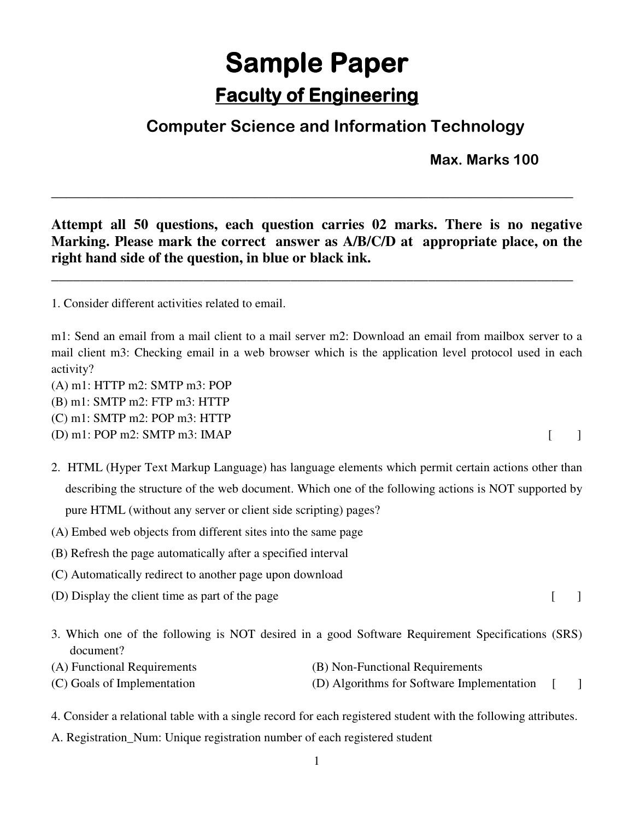## **Sample Paper Faculty of Engineering**

## **Computer Science and Information Technology**

**Max. Marks 100** 

**Attempt all 50 questions, each question carries 02 marks. There is no negative Marking. Please mark the correct answer as A/B/C/D at appropriate place, on the right hand side of the question, in blue or black ink.** 

**\_\_\_\_\_\_\_\_\_\_\_\_\_\_\_\_\_\_\_\_\_\_\_\_\_\_\_\_\_\_\_\_\_\_\_\_\_\_\_\_\_\_\_\_\_\_\_\_\_\_\_\_\_\_\_\_\_\_\_\_\_\_\_\_\_\_\_\_\_\_\_\_** 

**\_\_\_\_\_\_\_\_\_\_\_\_\_\_\_\_\_\_\_\_\_\_\_\_\_\_\_\_\_\_\_\_\_\_\_\_\_\_\_\_\_\_\_\_\_\_\_\_\_\_\_\_\_\_\_\_\_\_\_\_\_\_\_\_\_\_\_\_\_\_\_\_** 

1. Consider different activities related to email.

m1: Send an email from a mail client to a mail server m2: Download an email from mailbox server to a mail client m3: Checking email in a web browser which is the application level protocol used in each activity?

(A) m1: HTTP m2: SMTP m3: POP

(B) m1: SMTP m2: FTP m3: HTTP

(C) m1: SMTP m2: POP m3: HTTP

(D) m1: POP m2: SMTP m3: IMAP  $[$ 

- 2. HTML (Hyper Text Markup Language) has language elements which permit certain actions other than describing the structure of the web document. Which one of the following actions is NOT supported by pure HTML (without any server or client side scripting) pages?
- (A) Embed web objects from different sites into the same page
- (B) Refresh the page automatically after a specified interval
- (C) Automatically redirect to another page upon download
- $(D)$  Display the client time as part of the page  $[$
- 3. Which one of the following is NOT desired in a good Software Requirement Specifications (SRS) document?
- 
- (A) Functional Requirements (B) Non-Functional Requirements
- (C) Goals of Implementation (D) Algorithms for Software Implementation [ ]
- 4. Consider a relational table with a single record for each registered student with the following attributes.
- A. Registration\_Num: Unique registration number of each registered student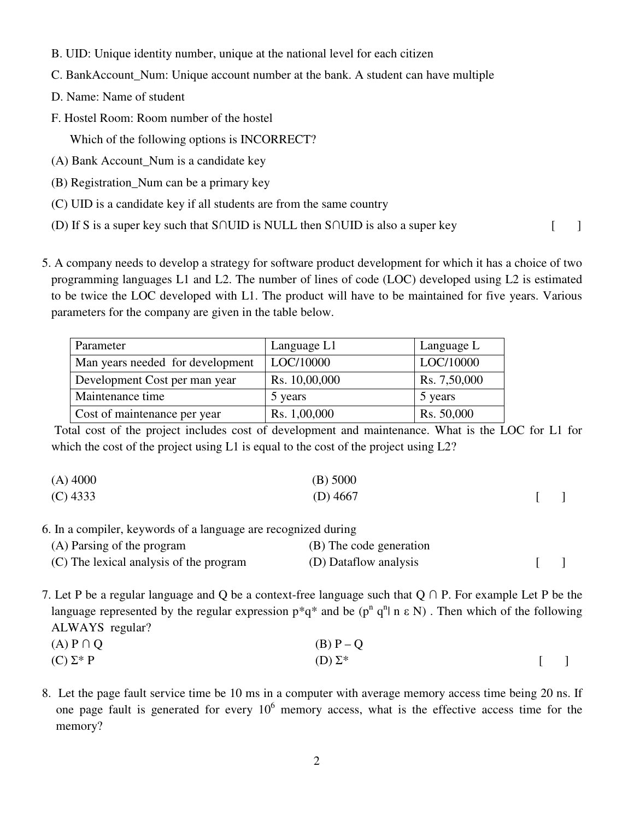- B. UID: Unique identity number, unique at the national level for each citizen
- C. BankAccount\_Num: Unique account number at the bank. A student can have multiple
- D. Name: Name of student
- F. Hostel Room: Room number of the hostel

Which of the following options is INCORRECT?

- (A) Bank Account\_Num is a candidate key
- (B) Registration\_Num can be a primary key
- (C) UID is a candidate key if all students are from the same country
- (D) If S is a super key such that S∩UID is NULL then S∩UID is also a super key [ ]

 5. A company needs to develop a strategy for software product development for which it has a choice of two programming languages L1 and L2. The number of lines of code (LOC) developed using L2 is estimated to be twice the LOC developed with L1. The product will have to be maintained for five years. Various parameters for the company are given in the table below.

| Parameter                        | Language L1   | Language L   |
|----------------------------------|---------------|--------------|
| Man years needed for development | LOC/10000     | LOC/10000    |
| Development Cost per man year    | Rs. 10,00,000 | Rs. 7,50,000 |
| Maintenance time                 | 5 years       | 5 years      |
| Cost of maintenance per year     | Rs. 1,00,000  | Rs. 50,000   |

 Total cost of the project includes cost of development and maintenance. What is the LOC for L1 for which the cost of the project using L1 is equal to the cost of the project using L2?

| $(A)$ 4000 | $(B)$ 5000 |  |
|------------|------------|--|
| $(C)$ 4333 | (D) $4667$ |  |

6. In a compiler, keywords of a language are recognized during

| (A) Parsing of the program              | (B) The code generation |  |
|-----------------------------------------|-------------------------|--|
| (C) The lexical analysis of the program | (D) Dataflow analysis   |  |

7. Let P be a regular language and Q be a context-free language such that Q ∩ P. For example Let P be the language represented by the regular expression  $p^*q^*$  and be  $(p^n q^n | n \varepsilon N)$ . Then which of the following ALWAYS regular?

(A)  $P \cap Q$  (B)  $P - Q$ (C)  $\Sigma^*$  P (D)  $\Sigma^*$  [ ]

8. Let the page fault service time be 10 ms in a computer with average memory access time being 20 ns. If one page fault is generated for every  $10<sup>6</sup>$  memory access, what is the effective access time for the memory?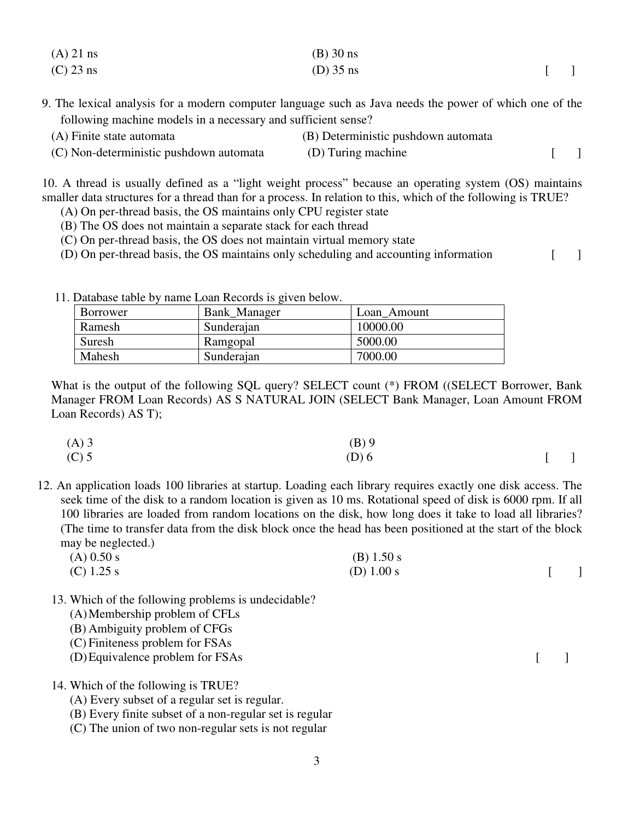| $(A)$ 21 ns | $(B)$ 30 ns |        |
|-------------|-------------|--------|
| $(C)$ 23 ns | $(D)$ 35 ns | $\Box$ |

9. The lexical analysis for a modern computer language such as Java needs the power of which one of the following machine models in a necessary and sufficient sense?

| (A) Finite state automata               | (B) Deterministic pushdown automata |  |
|-----------------------------------------|-------------------------------------|--|
| (C) Non-deterministic pushdown automata | (D) Turing machine                  |  |

10. A thread is usually defined as a "light weight process" because an operating system (OS) maintains smaller data structures for a thread than for a process. In relation to this, which of the following is TRUE?

- (A) On per-thread basis, the OS maintains only CPU register state
- (B) The OS does not maintain a separate stack for each thread
- (C) On per-thread basis, the OS does not maintain virtual memory state
- (D) On per-thread basis, the OS maintains only scheduling and accounting information [ ]

11. Database table by name Loan Records is given below.

| Borrower | Bank Manager | Loan Amount |
|----------|--------------|-------------|
| Ramesh   | Sunderajan   | 10000.00    |
| Suresh   | Ramgopal     | 5000.00     |
| Mahesh   | Sunderajan   | 7000.00     |

What is the output of the following SQL query? SELECT count (\*) FROM ((SELECT Borrower, Bank Manager FROM Loan Records) AS S NATURAL JOIN (SELECT Bank Manager, Loan Amount FROM Loan Records) AS T);

| $(A)$ 3 | $(B)$ 9 |                |
|---------|---------|----------------|
| $(C)$ 5 | $(D)$ 6 | $\blacksquare$ |

12. An application loads 100 libraries at startup. Loading each library requires exactly one disk access. The seek time of the disk to a random location is given as 10 ms. Rotational speed of disk is 6000 rpm. If all 100 libraries are loaded from random locations on the disk, how long does it take to load all libraries? (The time to transfer data from the disk block once the head has been positioned at the start of the block may be neglected.)

| $(A)$ 0.50 s | $(B)$ 1.50 s |  |
|--------------|--------------|--|
| (C) 1.25 s   | (D) $1.00 s$ |  |

- 13. Which of the following problems is undecidable?
	- (A)Membership problem of CFLs
	- (B) Ambiguity problem of CFGs
	- (C) Finiteness problem for FSAs
	- (D) Equivalence problem for FSAs [ ]
- 14. Which of the following is TRUE?
	- (A) Every subset of a regular set is regular.
	- (B) Every finite subset of a non-regular set is regular
	- (C) The union of two non-regular sets is not regular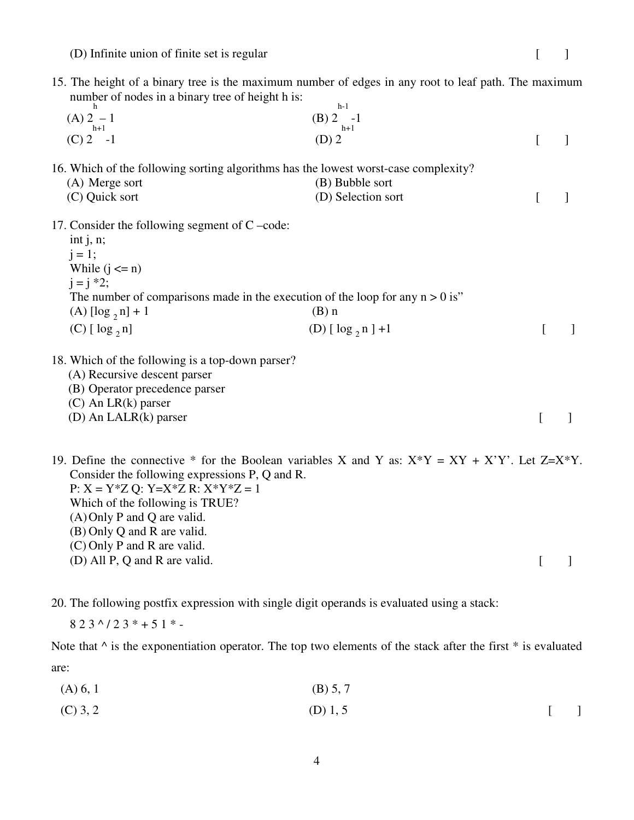(D) Infinite union of finite set is regular [ ]

| number of nodes in a binary tree of height h is: | 15. The height of a binary tree is the maximum number of edges in any root to leaf path. The maximum<br>$h-1$ |          |   |
|--------------------------------------------------|---------------------------------------------------------------------------------------------------------------|----------|---|
| $(A) 2 - 1$<br>$h+1$                             | $(B) 2 -1$<br>$h+1$                                                                                           |          |   |
| $(C)$ 2 -1                                       | $(D)$ 2                                                                                                       | L        | 1 |
|                                                  | 16. Which of the following sorting algorithms has the lowest worst-case complexity?                           |          |   |
| (A) Merge sort                                   | (B) Bubble sort                                                                                               |          |   |
| (C) Quick sort                                   | (D) Selection sort                                                                                            | L        | 1 |
| 17. Consider the following segment of $C$ –code: |                                                                                                               |          |   |
| int $j, n;$                                      |                                                                                                               |          |   |
| $j = 1;$                                         |                                                                                                               |          |   |
| While $(j \le n)$                                |                                                                                                               |          |   |
| $i = i * 2;$                                     |                                                                                                               |          |   |
|                                                  | The number of comparisons made in the execution of the loop for any $n > 0$ is"                               |          |   |
| (A) $[\log_2 n] + 1$                             | $(B)$ n                                                                                                       |          |   |
| $(C)$ [ $log_2 n$ ]                              | (D) $[\log_2 n] + 1$                                                                                          |          |   |
| 18. Which of the following is a top-down parser? |                                                                                                               |          |   |
| (A) Recursive descent parser                     |                                                                                                               |          |   |
| (B) Operator precedence parser                   |                                                                                                               |          |   |
| $(C)$ An LR $(k)$ parser                         |                                                                                                               |          |   |
| (D) An LALR(k) parser                            |                                                                                                               | $\Gamma$ |   |
|                                                  | 19. Define the connective * for the Boolean variables X and Y as: $X^*Y = XY + X'Y'$ . Let $Z=X^*Y$ .         |          |   |
| Consider the following expressions P, Q and R.   |                                                                                                               |          |   |
| $P: X = Y^*Z Q: Y = X^*Z R: X^*Y^*Z = 1$         |                                                                                                               |          |   |
| Which of the following is TRUE?                  |                                                                                                               |          |   |
| $(A)$ Only P and Q are valid.                    |                                                                                                               |          |   |

- (B) Only Q and R are valid.
- (C) Only P and R are valid.
- $(D)$  All P, Q and R are valid.  $[$

20. The following postfix expression with single digit operands is evaluated using a stack:

 $823^{\wedge}/23^{\dagger}+51^{\dagger}$  -

Note that  $\wedge$  is the exponentiation operator. The top two elements of the stack after the first  $*$  is evaluated are:

- $(A) 6, 1$  (B) 5, 7
- (C) 3, 2 [ ]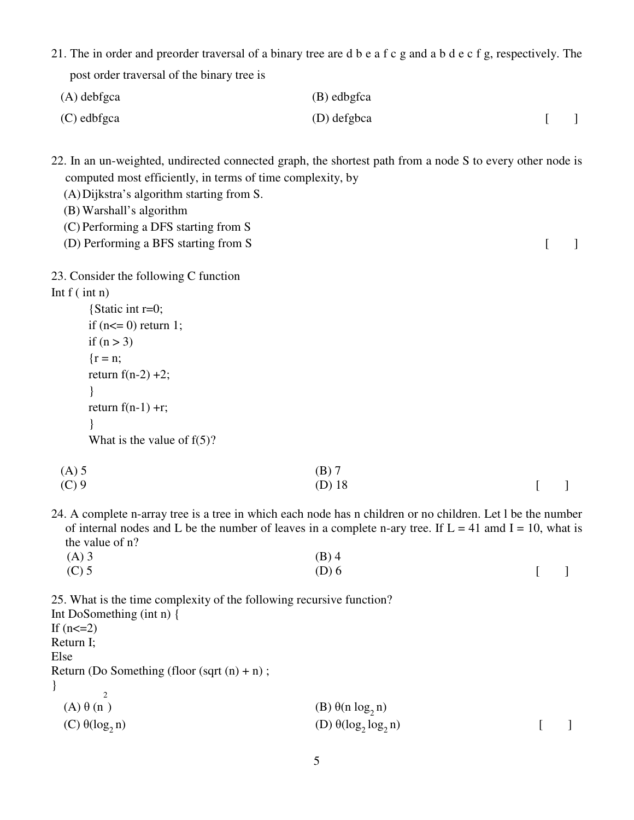21. The in order and preorder traversal of a binary tree are d b e a f c g and a b d e c f g, respectively. The post order traversal of the binary tree is

| $(A)$ debfgca | (B) edbgfca |  |
|---------------|-------------|--|
| (C) edbfgca   | (D) defgbca |  |

22. In an un-weighted, undirected connected graph, the shortest path from a node S to every other node is computed most efficiently, in terms of time complexity, by

- (A)Dijkstra's algorithm starting from S.
- (B) Warshall's algorithm
- (C) Performing a DFS starting from S
- (D) Performing a BFS starting from S [ ]

23. Consider the following C function

## Int  $f$  ( int n)

{Static int r=0; if (n<= 0) return 1; if (n > 3) {r = n; return f(n-2) +2; } return f(n-1) +r; } What is the value of f(5)?

| $(A)$ 5 | $(B)$ 7            |  |
|---------|--------------------|--|
| $(C)$ 9 | $(D)$ 18<br>$\Box$ |  |

24. A complete n-array tree is a tree in which each node has n children or no children. Let l be the number of internal nodes and L be the number of leaves in a complete n-ary tree. If  $L = 41$  amd  $I = 10$ , what is the value of n?

| $(A)$ 3 | $(B)$ 4 |        |
|---------|---------|--------|
| $(C)$ 5 | $(D)$ 6 | $[\ ]$ |

25. What is the time complexity of the following recursive function?

Int DoSomething (int n) { If  $(n < = 2)$ Return I; Else Return (Do Something (floor (sqrt  $(n) + n$ ); }  $(A) \theta (n)$ 2 (A)  $\theta$  (n )<br>
(C)  $\theta(\log_2 n)$ <br>
(C)  $\theta(\log_2 n)$ <br>
(D)  $\theta(\log_2 \log_2 n)$  $(D) \theta(\log_2 \log_2 n)$  [ ]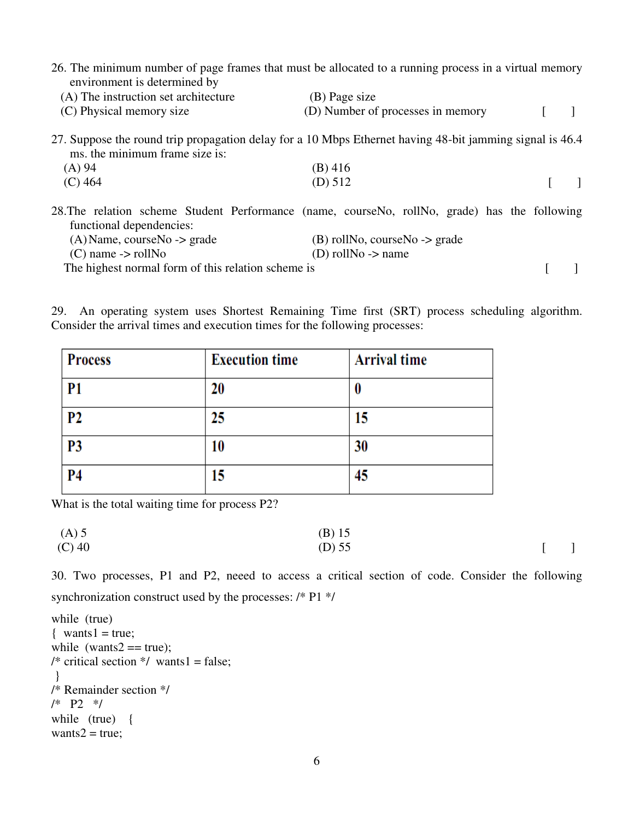| 26. The minimum number of page frames that must be allocated to a running process in a virtual memory<br>environment is determined by      |                                   |  |  |
|--------------------------------------------------------------------------------------------------------------------------------------------|-----------------------------------|--|--|
| (A) The instruction set architecture                                                                                                       | (B) Page size                     |  |  |
| (C) Physical memory size                                                                                                                   | (D) Number of processes in memory |  |  |
| 27. Suppose the round trip propagation delay for a 10 Mbps Ethernet having 48-bit jamming signal is 46.4<br>ms, the minimum frame size is: |                                   |  |  |
| (A) 94                                                                                                                                     | $(B)$ 416                         |  |  |
| $(C)$ 464                                                                                                                                  | (D) 512                           |  |  |
| 28. The relation scheme Student Performance (name, courseNo, rollNo, grade) has the following<br>functional dependencies:                  |                                   |  |  |
| $(A)$ Name, courseNo -> grade                                                                                                              | $(B)$ rollNo, courseNo -> grade   |  |  |
| $(C)$ name $\rightarrow$ rollNo                                                                                                            | (D) roll No $\rightarrow$ name    |  |  |
| The highest normal form of this relation scheme is                                                                                         |                                   |  |  |

29. An operating system uses Shortest Remaining Time first (SRT) process scheduling algorithm. Consider the arrival times and execution times for the following processes:

| <b>Process</b> | <b>Execution time</b> | <b>Arrival time</b> |
|----------------|-----------------------|---------------------|
| P <sub>1</sub> | 20                    |                     |
| P <sub>2</sub> | 25                    | 15                  |
| <b>P3</b>      | 10                    | 30                  |
| <b>P4</b>      | 15                    | 45                  |

What is the total waiting time for process P2?

 (A) 5 (B) 15 (C) 40 (D) 55 [ ]

30. Two processes, P1 and P2, neeed to access a critical section of code. Consider the following synchronization construct used by the processes: /\* P1 \*/

```
while (true) 
\{ wants1 = true;
while (wants2 == true);
/* critical section \frac{*}{ } wants1 = false;
 } 
/* Remainder section */ 
/* P2 */ 
while (true) { 
wants2 = true;
```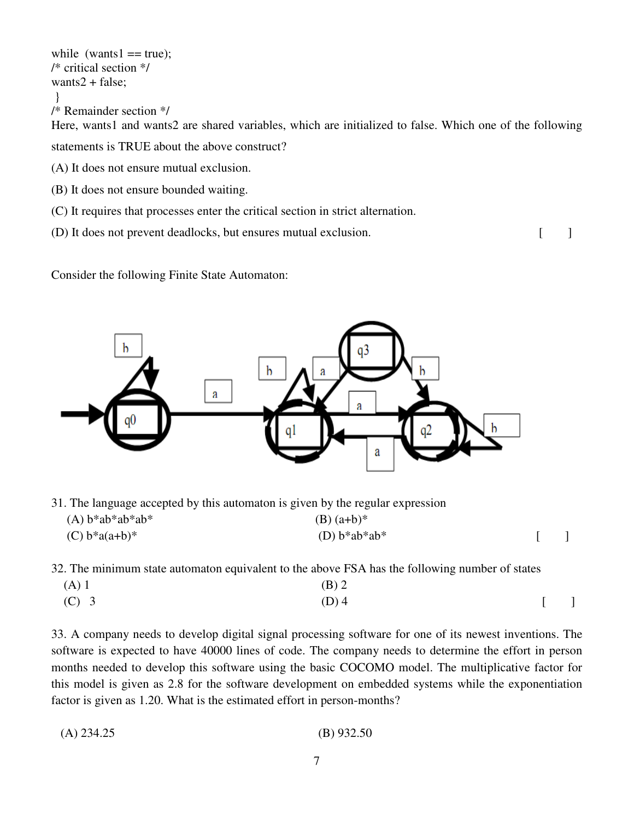while (wants $1 == true$ ); /\* critical section \*/ wants $2 + false$ ; } /\* Remainder section \*/ Here, wants1 and wants2 are shared variables, which are initialized to false. Which one of the following statements is TRUE about the above construct? (A) It does not ensure mutual exclusion. (B) It does not ensure bounded waiting.

- (C) It requires that processes enter the critical section in strict alternation.
- (D) It does not prevent deadlocks, but ensures mutual exclusion. [ ]

Consider the following Finite State Automaton:



31. The language accepted by this automaton is given by the regular expression

| $(A) b^*ab^*ab^*ab^*$ | $(B)$ (a+b)*      |  |
|-----------------------|-------------------|--|
| (C) $b^*a(a+b)^*$     | (D) $b^*ab^*ab^*$ |  |

32. The minimum state automaton equivalent to the above FSA has the following number of states

| $(A)$ 1 | $(B)$ 2 |        |  |
|---------|---------|--------|--|
| $(C)$ 3 | $(D)$ 4 | $[\ ]$ |  |

33. A company needs to develop digital signal processing software for one of its newest inventions. The software is expected to have 40000 lines of code. The company needs to determine the effort in person months needed to develop this software using the basic COCOMO model. The multiplicative factor for this model is given as 2.8 for the software development on embedded systems while the exponentiation factor is given as 1.20. What is the estimated effort in person-months?

```
 (A) 234.25 (B) 932.50
```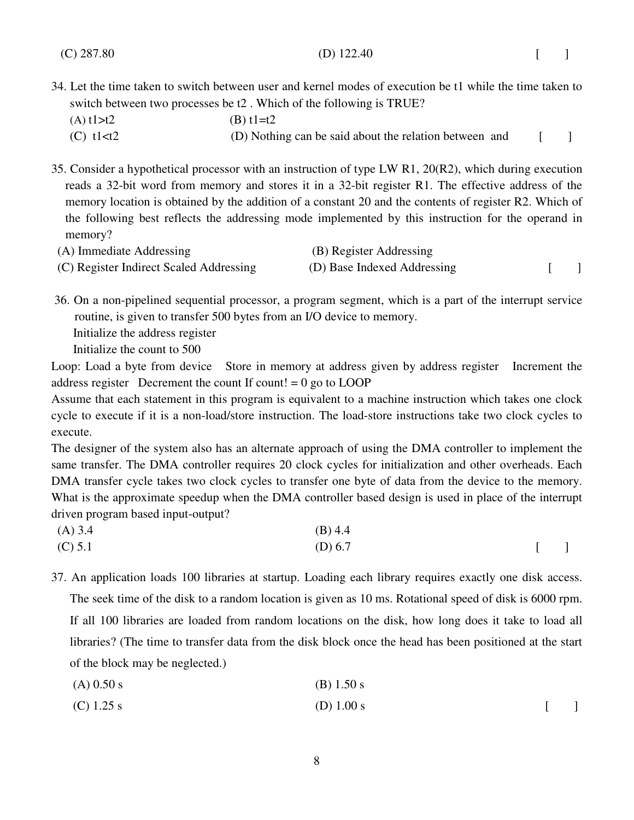- 34. Let the time taken to switch between user and kernel modes of execution be t1 while the time taken to switch between two processes be t2 . Which of the following is TRUE?
	- (A)  $t1 > t2$  (B)  $t1 = t2$ 
		- (C) t1 $lt$ t2 (D) Nothing can be said about the relation between and [ ]

35. Consider a hypothetical processor with an instruction of type LW R1, 20(R2), which during execution reads a 32-bit word from memory and stores it in a 32-bit register R1. The effective address of the memory location is obtained by the addition of a constant 20 and the contents of register R2. Which of the following best reflects the addressing mode implemented by this instruction for the operand in memory?

| (A) Immediate Addressing                | (B) Register Addressing     |  |
|-----------------------------------------|-----------------------------|--|
| (C) Register Indirect Scaled Addressing | (D) Base Indexed Addressing |  |

 36. On a non-pipelined sequential processor, a program segment, which is a part of the interrupt service routine, is given to transfer 500 bytes from an I/O device to memory. Initialize the address register Initialize the count to 500

Loop: Load a byte from device Store in memory at address given by address register Increment the address register Decrement the count If count!  $= 0$  go to LOOP

Assume that each statement in this program is equivalent to a machine instruction which takes one clock cycle to execute if it is a non-load/store instruction. The load-store instructions take two clock cycles to execute.

The designer of the system also has an alternate approach of using the DMA controller to implement the same transfer. The DMA controller requires 20 clock cycles for initialization and other overheads. Each DMA transfer cycle takes two clock cycles to transfer one byte of data from the device to the memory. What is the approximate speedup when the DMA controller based design is used in place of the interrupt driven program based input-output?

| $(A)$ 3.4 | $(B)$ 4.4 |        |
|-----------|-----------|--------|
| (C) 5.1   | (D) 6.7   | $\Box$ |

37. An application loads 100 libraries at startup. Loading each library requires exactly one disk access. The seek time of the disk to a random location is given as 10 ms. Rotational speed of disk is 6000 rpm. If all 100 libraries are loaded from random locations on the disk, how long does it take to load all libraries? (The time to transfer data from the disk block once the head has been positioned at the start of the block may be neglected.)

- $(A) 0.50 s$  (B) 1.50 s
- (C)  $1.25 \text{ s}$  [ ]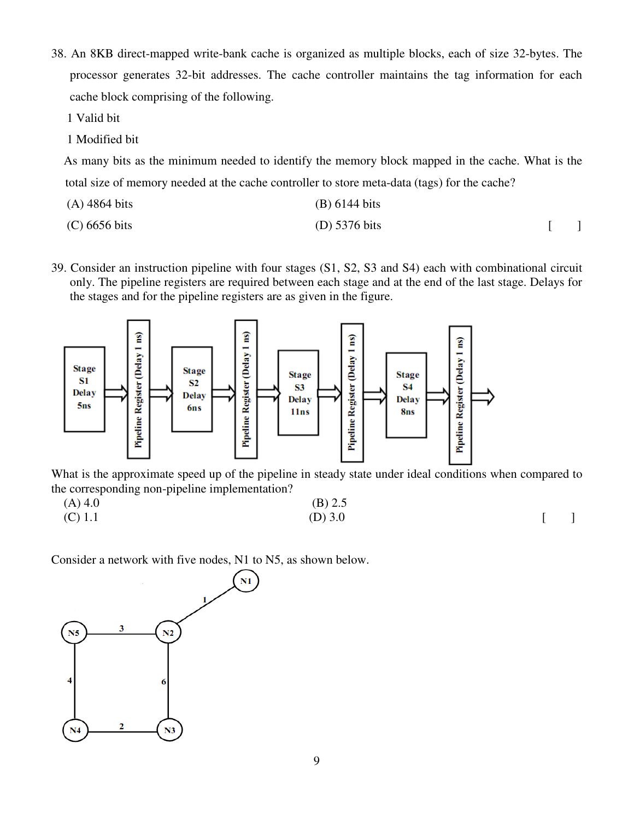38. An 8KB direct-mapped write-bank cache is organized as multiple blocks, each of size 32-bytes. The processor generates 32-bit addresses. The cache controller maintains the tag information for each cache block comprising of the following.

1 Valid bit

1 Modified bit

 As many bits as the minimum needed to identify the memory block mapped in the cache. What is the total size of memory needed at the cache controller to store meta-data (tags) for the cache?

| $(A)$ 4864 bits | (B) 6144 bits   |  |
|-----------------|-----------------|--|
| $(C)$ 6656 bits | (D) $5376$ bits |  |

39. Consider an instruction pipeline with four stages (S1, S2, S3 and S4) each with combinational circuit only. The pipeline registers are required between each stage and at the end of the last stage. Delays for the stages and for the pipeline registers are as given in the figure.



What is the approximate speed up of the pipeline in steady state under ideal conditions when compared to the corresponding non-pipeline implementation?

| $(A)$ 4.0 | $(B)$ 2.5 |  |
|-----------|-----------|--|
| $(C)$ 1.1 | (D) $3.0$ |  |

Consider a network with five nodes, N1 to N5, as shown below.

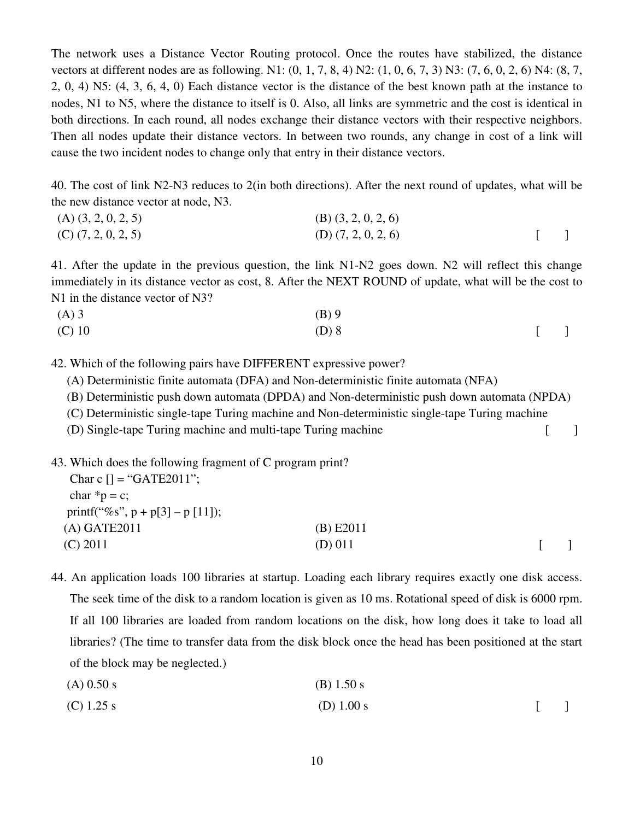The network uses a Distance Vector Routing protocol. Once the routes have stabilized, the distance vectors at different nodes are as following. N1: (0, 1, 7, 8, 4) N2: (1, 0, 6, 7, 3) N3: (7, 6, 0, 2, 6) N4: (8, 7, 2, 0, 4) N5: (4, 3, 6, 4, 0) Each distance vector is the distance of the best known path at the instance to nodes, N1 to N5, where the distance to itself is 0. Also, all links are symmetric and the cost is identical in both directions. In each round, all nodes exchange their distance vectors with their respective neighbors. Then all nodes update their distance vectors. In between two rounds, any change in cost of a link will cause the two incident nodes to change only that entry in their distance vectors.

40. The cost of link N2-N3 reduces to 2(in both directions). After the next round of updates, what will be the new distance vector at node, N3.

| $(A)$ $(3, 2, 0, 2, 5)$ | $(B)$ $(3, 2, 0, 2, 6)$ |  |
|-------------------------|-------------------------|--|
| $(C)$ $(7, 2, 0, 2, 5)$ | $(D)$ $(7, 2, 0, 2, 6)$ |  |

41. After the update in the previous question, the link N1-N2 goes down. N2 will reflect this change immediately in its distance vector as cost, 8. After the NEXT ROUND of update, what will be the cost to N1 in the distance vector of N3?

| $(A)$ 3  | $(B)$ 9 |         |  |
|----------|---------|---------|--|
| $(C)$ 10 | $(D)$ 8 | $[$ $]$ |  |

42. Which of the following pairs have DIFFERENT expressive power?

- (A) Deterministic finite automata (DFA) and Non-deterministic finite automata (NFA)
- (B) Deterministic push down automata (DPDA) and Non-deterministic push down automata (NPDA)

(C) Deterministic single-tape Turing machine and Non-deterministic single-tape Turing machine

(D) Single-tape Turing machine and multi-tape Turing machine [ ]

43. Which does the following fragment of C program print?

| Char c $[] = "GATE2011";$          |             |  |
|------------------------------------|-------------|--|
| char $*_{p} = c$ ;                 |             |  |
| printf("%s", $p + p[3] - p[11]$ ); |             |  |
| $(A)$ GATE2011                     | $(B)$ E2011 |  |
| $(C)$ 2011                         | (D) 011     |  |
|                                    |             |  |

44. An application loads 100 libraries at startup. Loading each library requires exactly one disk access. The seek time of the disk to a random location is given as 10 ms. Rotational speed of disk is 6000 rpm. If all 100 libraries are loaded from random locations on the disk, how long does it take to load all libraries? (The time to transfer data from the disk block once the head has been positioned at the start of the block may be neglected.)

- $(A) 0.50 s$  (B) 1.50 s
- (C)  $1.25 \text{ s}$  [ ]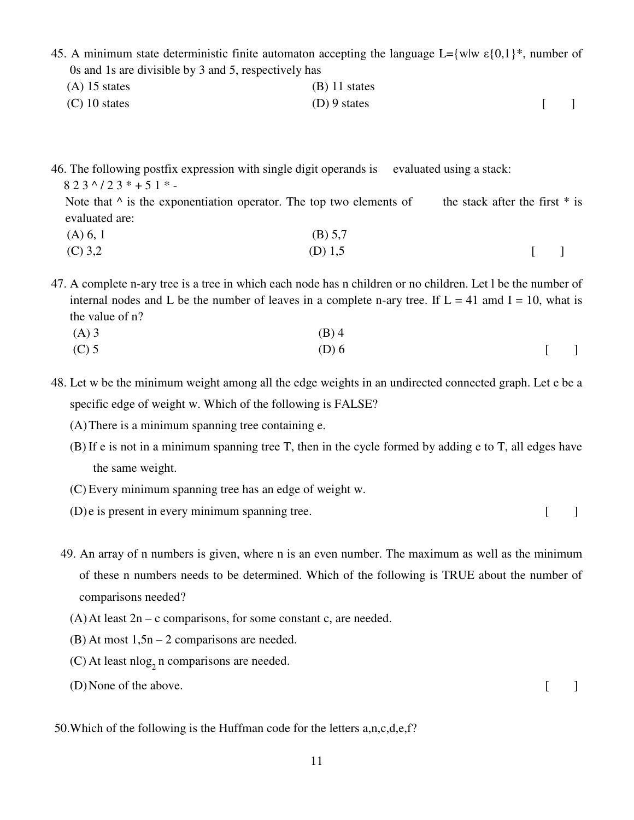- 45. A minimum state deterministic finite automaton accepting the language L={w|w  $\varepsilon$ {0,1}<sup>\*</sup>, number of 0s and 1s are divisible by 3 and 5, respectively has
	- $(A)$  15 states (B) 11 states  $(C)$  10 states [ ]

46. The following postfix expression with single digit operands is evaluated using a stack:

 $823^{\wedge}/23^{\ast}+51^{\ast}$  -

Note that  $\wedge$  is the exponentiation operator. The top two elements of the stack after the first  $*$  is evaluated are:

 $(A) 6, 1$  (B) 5,7 (C) 3,2 [ ]

47. A complete n-ary tree is a tree in which each node has n children or no children. Let l be the number of internal nodes and L be the number of leaves in a complete n-ary tree. If  $L = 41$  amd  $I = 10$ , what is the value of n?

(A) 3 (B) 4 (C) 5  $(D) 6$  [ ]

48. Let w be the minimum weight among all the edge weights in an undirected connected graph. Let e be a specific edge of weight w. Which of the following is FALSE?

- (A)There is a minimum spanning tree containing e.
- (B) If e is not in a minimum spanning tree T, then in the cycle formed by adding e to T, all edges have the same weight.
- (C) Every minimum spanning tree has an edge of weight w.
- $(D)$  e is present in every minimum spanning tree.  $[$
- 49. An array of n numbers is given, where n is an even number. The maximum as well as the minimum of these n numbers needs to be determined. Which of the following is TRUE about the number of comparisons needed?
	- $(A)$  At least  $2n c$  comparisons, for some constant c, are needed.
	- $(B)$  At most  $1,5n 2$  comparisons are needed.
	- (C) At least nlog<sub>2</sub> n comparisons are needed.
	- $(D)$  None of the above.

50.Which of the following is the Huffman code for the letters a,n,c,d,e,f?